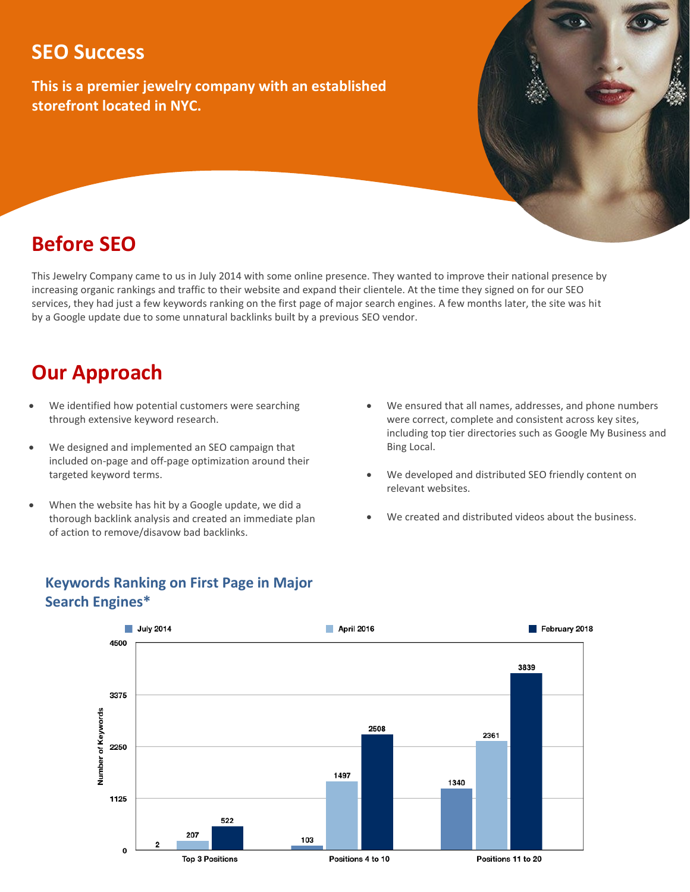# **SEO Success**

**This is a premier jewelry company with an established storefront located in NYC.**

# **Before SEO**

This Jewelry Company came to us in July 2014 with some online presence. They wanted to improve their national presence by increasing organic rankings and traffic to their website and expand their clientele. At the time they signed on for our SEO services, they had just a few keywords ranking on the first page of major search engines. A few months later, the site was hit by a Google update due to some unnatural backlinks built by a previous SEO vendor.

# **Our Approach**

- We identified how potential customers were searching through extensive keyword research.
- We designed and implemented an SEO campaign that included on-page and off-page optimization around their targeted keyword terms.
- When the website has hit by a Google update, we did a thorough backlink analysis and created an immediate plan of action to remove/disavow bad backlinks.
- We ensured that all names, addresses, and phone numbers were correct, complete and consistent across key sites, including top tier directories such as Google My Business and Bing Local.
- We developed and distributed SEO friendly content on relevant websites.
- We created and distributed videos about the business.

## **Keywords Ranking on First Page in Major Search Engines\***